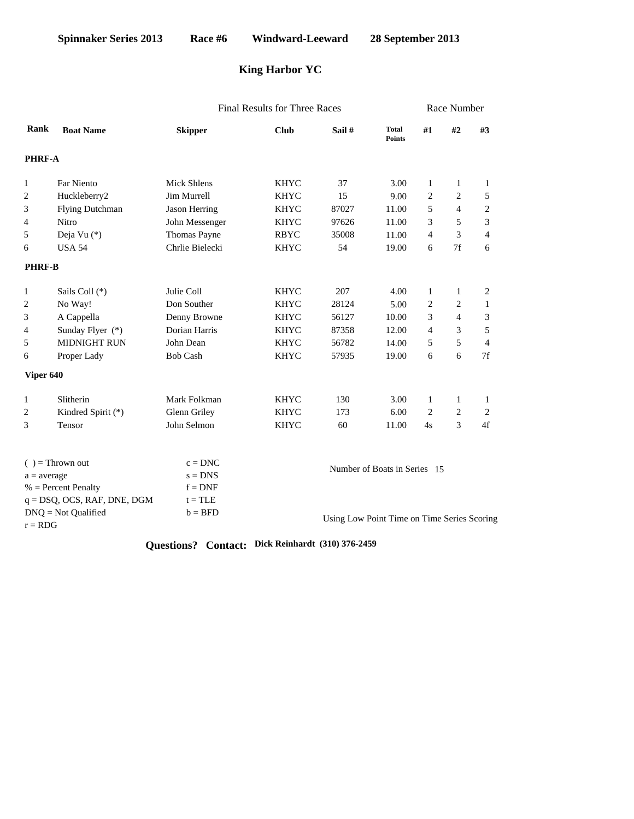# **King Harbor YC**

|                                    |                    |                 | <b>Final Results for Three Races</b> | Race Number |                               |                              |                                             |                |  |  |
|------------------------------------|--------------------|-----------------|--------------------------------------|-------------|-------------------------------|------------------------------|---------------------------------------------|----------------|--|--|
| Rank                               | <b>Boat Name</b>   | <b>Skipper</b>  | <b>Club</b>                          | Sail #      | <b>Total</b><br><b>Points</b> | #1                           | #2                                          | #3             |  |  |
| PHRF-A                             |                    |                 |                                      |             |                               |                              |                                             |                |  |  |
| 1                                  | Far Niento         | Mick Shlens     | <b>KHYC</b>                          | 37          | 3.00                          | 1                            | 1                                           | 1              |  |  |
| 2                                  | Huckleberry2       | Jim Murrell     | <b>KHYC</b>                          | 15          | 9.00                          | $\overline{c}$               | $\overline{c}$                              | 5              |  |  |
| 3                                  | Flying Dutchman    | Jason Herring   | <b>KHYC</b>                          | 87027       | 11.00                         | 5                            | $\overline{4}$                              | 2              |  |  |
| 4                                  | Nitro              | John Messenger  | <b>KHYC</b>                          | 97626       | 11.00                         | 3                            | 5                                           | 3              |  |  |
| 5                                  | Deja Vu (*)        | Thomas Payne    | <b>RBYC</b>                          | 35008       |                               | 4                            | 3                                           | $\overline{4}$ |  |  |
| 6                                  | <b>USA 54</b>      | Chrlie Bielecki | <b>KHYC</b>                          | 54          | 19.00                         | 6                            | 7f                                          | 6              |  |  |
| <b>PHRF-B</b>                      |                    |                 |                                      |             |                               |                              |                                             |                |  |  |
| $\mathbf{1}$                       | Sails Coll (*)     | Julie Coll      | <b>KHYC</b>                          | 207         | 4.00                          | $\mathbf{1}$                 | 1                                           | 2              |  |  |
| 2                                  | No Way!            | Don Souther     | <b>KHYC</b>                          | 28124       | 5.00                          | 2                            | 2                                           | $\mathbf{1}$   |  |  |
| 3                                  | A Cappella         | Denny Browne    | <b>KHYC</b>                          | 56127       | 10.00                         | 3                            | $\overline{4}$                              | 3              |  |  |
| 4                                  | Sunday Flyer (*)   | Dorian Harris   | <b>KHYC</b>                          | 87358       | 12.00                         | $\overline{4}$               | 3                                           | 5              |  |  |
| 5                                  | MIDNIGHT RUN       | John Dean       | <b>KHYC</b>                          | 56782       | 14.00                         | 5                            | 5                                           | $\overline{4}$ |  |  |
| 6                                  | Proper Lady        | <b>Bob Cash</b> | <b>KHYC</b>                          | 57935       | 19.00                         | 6                            | 6                                           | 7f             |  |  |
| Viper 640                          |                    |                 |                                      |             |                               |                              |                                             |                |  |  |
| $\mathbf{1}$                       | Slitherin          | Mark Folkman    | <b>KHYC</b>                          | 130         | 3.00                          | $\mathbf{1}$                 | 1                                           | 1              |  |  |
| 2                                  | Kindred Spirit (*) | Glenn Griley    | <b>KHYC</b>                          | 173         | 6.00                          | 2                            | $\sqrt{2}$                                  | 2              |  |  |
| 3                                  | Tensor             | John Selmon     | <b>KHYC</b>                          | 60          | 11.00                         | 4s                           | 3                                           | 4f             |  |  |
|                                    | $( )$ = Thrown out | $c = DNC$       |                                      |             |                               |                              |                                             |                |  |  |
| $a = average$                      |                    | $s = DNS$       |                                      |             |                               | Number of Boats in Series 15 |                                             |                |  |  |
| $%$ = Percent Penalty              |                    | $f = DNF$       |                                      |             |                               |                              |                                             |                |  |  |
| $q = DSQ$ , OCS, RAF, DNE, DGM     |                    | $t = TLE$       |                                      |             |                               |                              |                                             |                |  |  |
| $DNQ = Not$ Qualified<br>$r = RDG$ |                    | $b = BFD$       |                                      |             |                               |                              | Using Low Point Time on Time Series Scoring |                |  |  |

**Questions? Contact: Dick Reinhardt (310) 376-2459**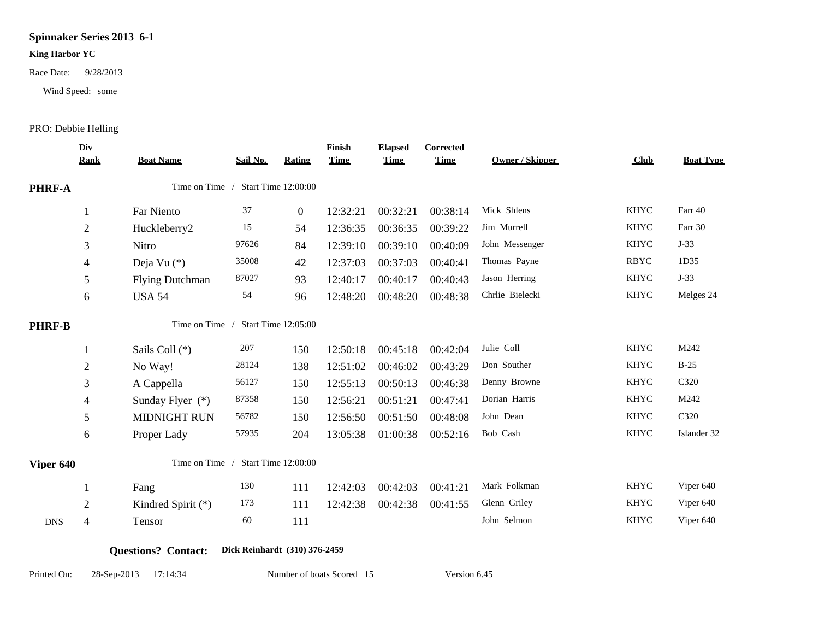## **Spinnaker Series 2013 6-1**

#### **King Harbor YC**

Wind Speed: some

Race Date: 9/28/2013<br>
Wind Speed: some<br>
PRO: Debbie Helling

|                                                     | Div<br><b>Rank</b>       | <b>Boat Name</b>       | Sail No. | <b>Rating</b>       | Finish<br><b>Time</b> | <b>Elapsed</b><br><b>Time</b> | Corrected<br><b>Time</b> | <b>Owner / Skipper</b> | Club        | <b>Boat Type</b> |
|-----------------------------------------------------|--------------------------|------------------------|----------|---------------------|-----------------------|-------------------------------|--------------------------|------------------------|-------------|------------------|
| PHRF-A                                              |                          | Time on Time /         |          | Start Time 12:00:00 |                       |                               |                          |                        |             |                  |
|                                                     | 1                        | Far Niento             | 37       | $\boldsymbol{0}$    | 12:32:21              | 00:32:21                      | 00:38:14                 | Mick Shlens            | <b>KHYC</b> | Farr 40          |
|                                                     | $\mathbf{2}$             | Huckleberry2           | 15       | 54                  | 12:36:35              | 00:36:35                      | 00:39:22                 | Jim Murrell            | <b>KHYC</b> | Farr 30          |
|                                                     | 3                        | Nitro                  | 97626    | 84                  | 12:39:10              | 00:39:10                      | 00:40:09                 | John Messenger         | <b>KHYC</b> | $J-33$           |
|                                                     | 4                        | Deja Vu (*)            | 35008    | 42                  | 12:37:03              | 00:37:03                      | 00:40:41                 | Thomas Payne           | <b>RBYC</b> | 1D35             |
|                                                     | 5                        | <b>Flying Dutchman</b> | 87027    | 93                  | 12:40:17              | 00:40:17                      | 00:40:43                 | Jason Herring          | <b>KHYC</b> | $J-33$           |
|                                                     | 6                        | <b>USA 54</b>          | 54       | 96                  | 12:48:20              | 00:48:20                      | 00:48:38                 | Chrlie Bielecki        | <b>KHYC</b> | Melges 24        |
| Time on Time / Start Time 12:05:00<br><b>PHRF-B</b> |                          |                        |          |                     |                       |                               |                          |                        |             |                  |
|                                                     | 1                        | Sails Coll (*)         | 207      | 150                 | 12:50:18              | 00:45:18                      | 00:42:04                 | Julie Coll             | <b>KHYC</b> | M242             |
|                                                     | $\mathbf{2}$             | No Way!                | 28124    | 138                 | 12:51:02              | 00:46:02                      | 00:43:29                 | Don Souther            | <b>KHYC</b> | $B-25$           |
|                                                     | 3                        | A Cappella             | 56127    | 150                 | 12:55:13              | 00:50:13                      | 00:46:38                 | Denny Browne           | <b>KHYC</b> | C320             |
|                                                     | $\overline{\mathcal{A}}$ | Sunday Flyer $(*)$     | 87358    | 150                 | 12:56:21              | 00:51:21                      | 00:47:41                 | Dorian Harris          | <b>KHYC</b> | M242             |
|                                                     | 5                        | <b>MIDNIGHT RUN</b>    | 56782    | 150                 | 12:56:50              | 00:51:50                      | 00:48:08                 | John Dean              | <b>KHYC</b> | C320             |
|                                                     | 6                        | Proper Lady            | 57935    | 204                 | 13:05:38              | 01:00:38                      | 00:52:16                 | Bob Cash               | <b>KHYC</b> | Islander 32      |
| Viper 640                                           |                          | Time on Time /         |          | Start Time 12:00:00 |                       |                               |                          |                        |             |                  |
|                                                     | 1                        | Fang                   | 130      | 111                 | 12:42:03              | 00:42:03                      | 00:41:21                 | Mark Folkman           | <b>KHYC</b> | Viper 640        |
|                                                     | $\mathbf{2}$             | Kindred Spirit (*)     | 173      | 111                 | 12:42:38              | 00:42:38                      | 00:41:55                 | Glenn Griley           | <b>KHYC</b> | Viper 640        |
| <b>DNS</b>                                          | $\overline{\mathcal{A}}$ | Tensor                 | 60       | 111                 |                       |                               |                          | John Selmon            | <b>KHYC</b> | Viper 640        |

### **Questions? Contact: Dick Reinhardt (310) 376-2459**

Printed On: 28-Sep-2013 17:14:34 Number of boats Scored 15 Version 6.45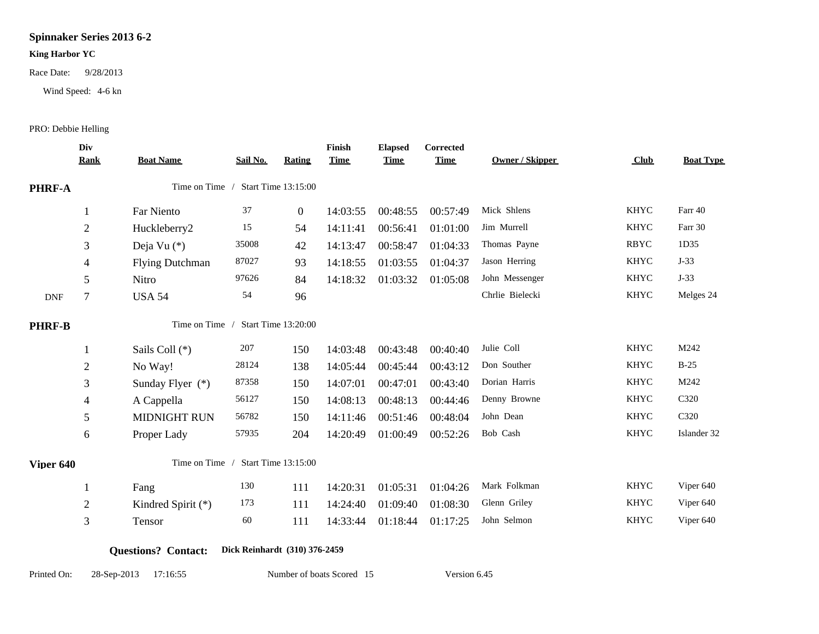## **Spinnaker Series 2013 6-2**

#### **King Harbor YC**

Race Date: 9/28/2013

Wind Speed: 4-6 kn

PRO: Debbie Helling

|               | Div<br><b>Rank</b>                    | <b>Boat Name</b>                    | Sail No. | Rating              | Finish<br><b>Time</b> | <b>Elapsed</b><br><b>Time</b> | Corrected<br><b>Time</b> | <b>Owner / Skipper</b> | Club        | <b>Boat Type</b> |
|---------------|---------------------------------------|-------------------------------------|----------|---------------------|-----------------------|-------------------------------|--------------------------|------------------------|-------------|------------------|
| <b>PHRF-A</b> |                                       | Time on Time<br>Start Time 13:15:00 |          |                     |                       |                               |                          |                        |             |                  |
|               | 1                                     | Far Niento                          | 37       | $\boldsymbol{0}$    | 14:03:55              | 00:48:55                      | 00:57:49                 | Mick Shlens            | <b>KHYC</b> | Farr 40          |
|               | $\overline{2}$                        | Huckleberry2                        | 15       | 54                  | 14:11:41              | 00:56:41                      | 01:01:00                 | Jim Murrell            | <b>KHYC</b> | Farr 30          |
|               | 3                                     | Deja Vu (*)                         | 35008    | 42                  | 14:13:47              | 00:58:47                      | 01:04:33                 | Thomas Payne           | <b>RBYC</b> | 1D35             |
|               | $\overline{4}$                        | <b>Flying Dutchman</b>              | 87027    | 93                  | 14:18:55              | 01:03:55                      | 01:04:37                 | Jason Herring          | <b>KHYC</b> | $J-33$           |
|               | 5                                     | Nitro                               | 97626    | 84                  | 14:18:32              | 01:03:32                      | 01:05:08                 | John Messenger         | <b>KHYC</b> | $J-33$           |
| <b>DNF</b>    | $\overline{7}$                        | <b>USA 54</b>                       | 54       | 96                  |                       |                               |                          | Chrlie Bielecki        | <b>KHYC</b> | Melges 24        |
| <b>PHRF-B</b> | Start Time 13:20:00<br>Time on Time / |                                     |          |                     |                       |                               |                          |                        |             |                  |
|               | 1                                     | Sails Coll (*)                      | 207      | 150                 | 14:03:48              | 00:43:48                      | 00:40:40                 | Julie Coll             | <b>KHYC</b> | M242             |
|               | $\mathbf{2}$                          | No Way!                             | 28124    | 138                 | 14:05:44              | 00:45:44                      | 00:43:12                 | Don Souther            | <b>KHYC</b> | $B-25$           |
|               | 3                                     | Sunday Flyer $(*)$                  | 87358    | 150                 | 14:07:01              | 00:47:01                      | 00:43:40                 | Dorian Harris          | <b>KHYC</b> | M242             |
|               | 4                                     | A Cappella                          | 56127    | 150                 | 14:08:13              | 00:48:13                      | 00:44:46                 | Denny Browne           | <b>KHYC</b> | C320             |
|               | 5                                     | <b>MIDNIGHT RUN</b>                 | 56782    | 150                 | 14:11:46              | 00:51:46                      | 00:48:04                 | John Dean              | <b>KHYC</b> | C320             |
|               | 6                                     | Proper Lady                         | 57935    | 204                 | 14:20:49              | 01:00:49                      | 00:52:26                 | Bob Cash               | <b>KHYC</b> | Islander 32      |
| Viper 640     |                                       | Time on Time /                      |          | Start Time 13:15:00 |                       |                               |                          |                        |             |                  |
|               |                                       | Fang                                | 130      | 111                 | 14:20:31              | 01:05:31                      | 01:04:26                 | Mark Folkman           | <b>KHYC</b> | Viper 640        |
|               | $\mathbf{2}$                          | Kindred Spirit (*)                  | 173      | 111                 | 14:24:40              | 01:09:40                      | 01:08:30                 | Glenn Griley           | <b>KHYC</b> | Viper 640        |
|               | 3                                     | Tensor                              | 60       | 111                 | 14:33:44              | 01:18:44                      | 01:17:25                 | John Selmon            | <b>KHYC</b> | Viper 640        |

**Questions? Contact: Dick Reinhardt (310) 376-2459**

Printed On: 28-Sep-2013 17:16:55 Number of boats Scored 15 Version 6.45